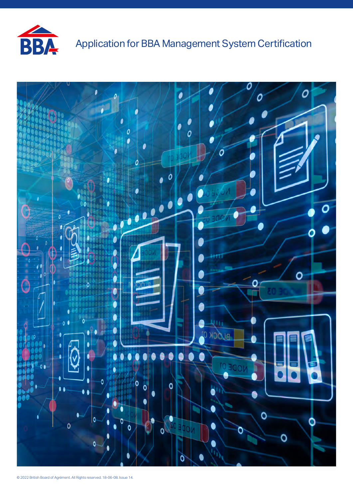

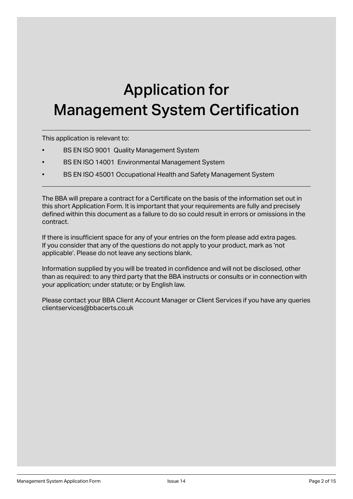# Application for Management System Certification

This application is relevant to:

- BS EN ISO 9001 Quality Management System
- BS EN ISO 14001 Environmental Management System
- BS EN ISO 45001 Occupational Health and Safety Management System

The BBA will prepare a contract for a Certificate on the basis of the information set out in this short Application Form. It is important that your requirements are fully and precisely defined within this document as a failure to do so could result in errors or omissions in the contract.

If there is insufficient space for any of your entries on the form please add extra pages. If you consider that any of the questions do not apply to your product, mark as 'not applicable'. Please do not leave any sections blank.

Information supplied by you will be treated in confidence and will not be disclosed, other than as required: to any third party that the BBA instructs or consults or in connection with your application; under statute; or by English law.

Please contact your BBA Client Account Manager or Client Services if you have any queries clientservices@bbacerts.co.uk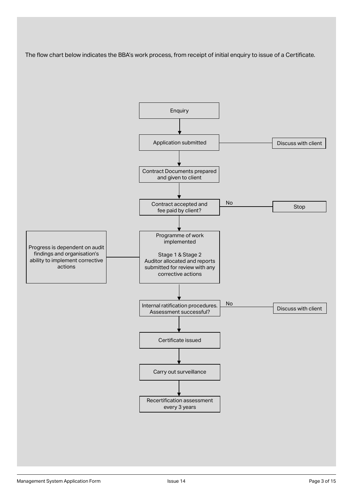The flow chart below indicates the BBA's work process, from receipt of initial enquiry to issue of a Certificate.

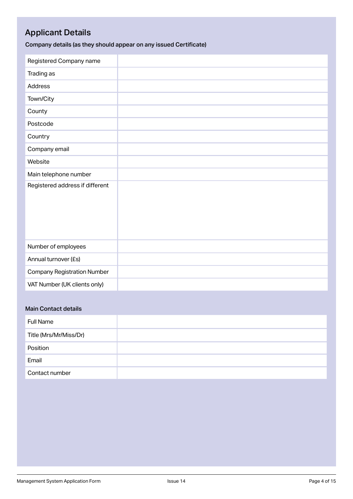## Applicant Details

Company details (as they should appear on any issued Certificate)

| Registered Company name            |  |
|------------------------------------|--|
| Trading as                         |  |
| <b>Address</b>                     |  |
| Town/City                          |  |
| County                             |  |
| Postcode                           |  |
| Country                            |  |
| Company email                      |  |
| Website                            |  |
| Main telephone number              |  |
| Registered address if different    |  |
| Number of employees                |  |
| Annual turnover (£s)               |  |
| <b>Company Registration Number</b> |  |
| VAT Number (UK clients only)       |  |

#### Main Contact details

| <b>Full Name</b>       |  |
|------------------------|--|
| Title (Mrs/Mr/Miss/Dr) |  |
| Position               |  |
| Email                  |  |
| Contact number         |  |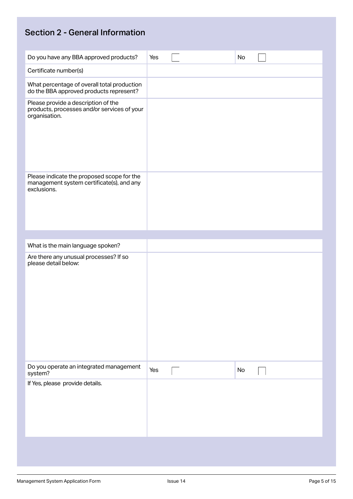# Section 2 - General Information

| Do you have any BBA approved products?                                                                 | Yes | No |  |
|--------------------------------------------------------------------------------------------------------|-----|----|--|
| Certificate number(s)                                                                                  |     |    |  |
| What percentage of overall total production<br>do the BBA approved products represent?                 |     |    |  |
| Please provide a description of the<br>products, processes and/or services of your<br>organisation.    |     |    |  |
| Please indicate the proposed scope for the<br>management system certificate(s), and any<br>exclusions. |     |    |  |
|                                                                                                        |     |    |  |
| What is the main language spoken?<br>Are there any unusual processes? If so                            |     |    |  |
| please detail below:                                                                                   |     |    |  |
| Do you operate an integrated management<br>system?                                                     | Yes | No |  |
| If Yes, please provide details.                                                                        |     |    |  |
|                                                                                                        |     |    |  |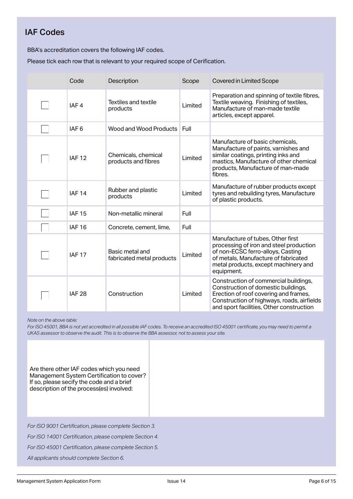#### IAF Codes

BBA's accreditation covers the following IAF codes.

Please tick each row that is relevant to your required scope of Cerification.

| Code             | Description                                  | Scope   | <b>Covered in Limited Scope</b>                                                                                                                                                                                 |
|------------------|----------------------------------------------|---------|-----------------------------------------------------------------------------------------------------------------------------------------------------------------------------------------------------------------|
| IAF <sub>4</sub> | <b>Textiles and textile</b><br>products      | Limited | Preparation and spinning of textile fibres,<br>Textile weaving. Finishing of textiles,<br>Manufacture of man-made textile<br>articles, except apparel.                                                          |
| IAF <sub>6</sub> | Wood and Wood Products                       | Full    |                                                                                                                                                                                                                 |
| <b>IAF 12</b>    | Chemicals, chemical<br>products and fibres   | Limited | Manufacture of basic chemicals,<br>Manufacture of paints, varnishes and<br>similar coatings, printing inks and<br>mastics, Manufacture of other chemical<br>products, Manufacture of man-made<br>fibres.        |
| <b>IAF 14</b>    | Rubber and plastic<br>products               | Limited | Manufacture of rubber products except<br>tyres and rebuilding tyres, Manufacture<br>of plastic products.                                                                                                        |
| <b>IAF 15</b>    | Non-metallic mineral                         | Full    |                                                                                                                                                                                                                 |
| <b>IAF 16</b>    | Concrete, cement, lime,                      | Full    |                                                                                                                                                                                                                 |
| <b>IAF 17</b>    | Basic metal and<br>fabricated metal products | Limited | Manufacture of tubes, Other first<br>processing of iron and steel production<br>of non-ECSC ferro-alloys, Casting<br>of metals, Manufacture of fabricated<br>metal products, except machinery and<br>equipment. |
| <b>IAF 28</b>    | Construction                                 | Limited | Construction of commercial buildings,<br>Construction of domestic buildings,<br>Erection of roof covering and frames,<br>Construction of highways, roads, airfields<br>and sport facilities, Other construction |

*Note on the above table:* 

*For ISO 45001, BBA is not yet accredited in all possible IAF codes. To receive an accredited ISO 45001 certificate, you may need to permit a UKAS assessor to observe the audit. This is to observe the BBA assessor, not to assess your site.* 

Are there other IAF codes which you need Management System Certification to cover? If so, please secify the code and a brief description of the process(es) involved:

*For ISO 9001 Certification, please complete Section 3.* 

*For ISO 14001 Certification, please complete Section 4.* 

*For ISO 45001 Certification, please complete Section 5.* 

*All applicants should complete Section 6.*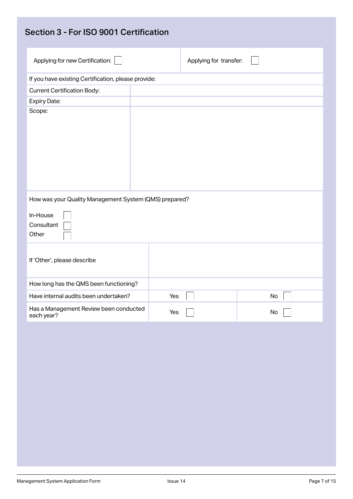| Section 3 - For ISO 9001 Certification                                                                                   |                        |
|--------------------------------------------------------------------------------------------------------------------------|------------------------|
| Applying for new Certification:                                                                                          | Applying for transfer: |
| If you have existing Certification, please provide:                                                                      |                        |
| <b>Current Certification Body:</b>                                                                                       |                        |
| Expiry Date:                                                                                                             |                        |
| Scope:                                                                                                                   |                        |
| How was your Quality Management System (QMS) prepared?<br>In-House<br>Consultant<br>Other<br>If 'Other', please describe |                        |
| How long has the QMS been functioning?                                                                                   |                        |
| Have internal audits been undertaken?                                                                                    | Yes<br>No              |
| Has a Management Review been conducted<br>each year?                                                                     | Yes<br>No              |
|                                                                                                                          |                        |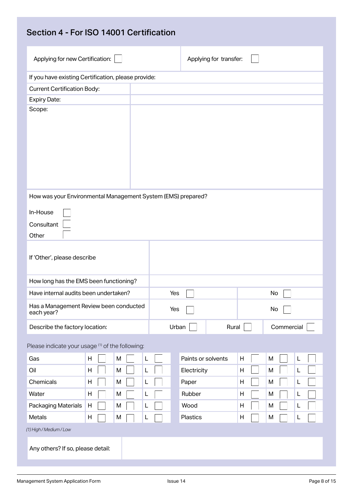| Applying for new Certification:                                                                                       |                                       |     | Applying for transfer: |   |            |
|-----------------------------------------------------------------------------------------------------------------------|---------------------------------------|-----|------------------------|---|------------|
| If you have existing Certification, please provide:                                                                   |                                       |     |                        |   |            |
| <b>Current Certification Body:</b>                                                                                    |                                       |     |                        |   |            |
| <b>Expiry Date:</b>                                                                                                   |                                       |     |                        |   |            |
| Scope:                                                                                                                |                                       |     |                        |   |            |
| How was your Environmental Management System (EMS) prepared?<br>In-House<br>Consultant<br>Other                       |                                       |     |                        |   |            |
| If 'Other', please describe                                                                                           |                                       |     |                        |   |            |
| How long has the EMS been functioning?                                                                                |                                       |     |                        |   |            |
|                                                                                                                       | Have internal audits been undertaken? | Yes |                        |   | No         |
|                                                                                                                       |                                       | Yes |                        |   | No         |
| Has a Management Review been conducted<br>each year?                                                                  |                                       |     |                        |   |            |
| Describe the factory location:                                                                                        |                                       |     | Urban<br>Rural         |   | Commercial |
|                                                                                                                       |                                       |     |                        |   |            |
|                                                                                                                       | M<br>H                                | L   | Paints or solvents     | H | M<br>L     |
|                                                                                                                       | H<br>M                                | L   | Electricity            | H | M<br>L     |
|                                                                                                                       | H<br>M                                | L   | Paper                  | H | M<br>L     |
|                                                                                                                       | H<br>М                                | L   | Rubber                 | Н | M<br>L     |
|                                                                                                                       | H<br>M                                | L   | Wood                   | H | M<br>L     |
| Please indicate your usage (1) of the following:<br>Gas<br>Oil<br>Chemicals<br>Water<br>Packaging Materials<br>Metals | H<br>М                                | L   | Plastics               | H | M<br>L     |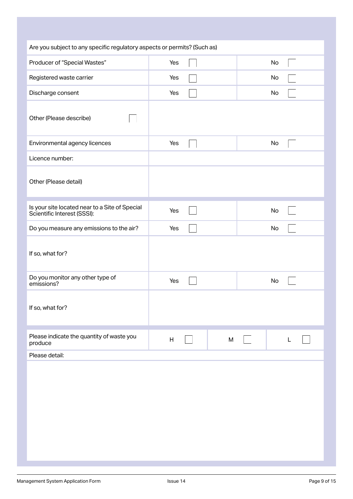| Are you subject to any specific regulatory aspects or permits? (Such as)      |     |           |    |
|-------------------------------------------------------------------------------|-----|-----------|----|
| Producer of "Special Wastes"                                                  | Yes |           | No |
| Registered waste carrier                                                      | Yes |           | No |
| Discharge consent                                                             | Yes |           | No |
| Other (Please describe)                                                       |     |           |    |
| Environmental agency licences                                                 | Yes |           | No |
| Licence number:                                                               |     |           |    |
| Other (Please detail)                                                         |     |           |    |
| Is your site located near to a Site of Special<br>Scientific Interest (SSSI): | Yes |           | No |
| Do you measure any emissions to the air?                                      | Yes |           | No |
| If so, what for?                                                              |     |           |    |
| Do you monitor any other type of<br>emissions?                                | Yes |           | No |
| If so, what for?                                                              |     |           |    |
| Please indicate the quantity of waste you<br>produce                          | H   | ${\sf M}$ | L  |
| Please detail:                                                                |     |           |    |
|                                                                               |     |           |    |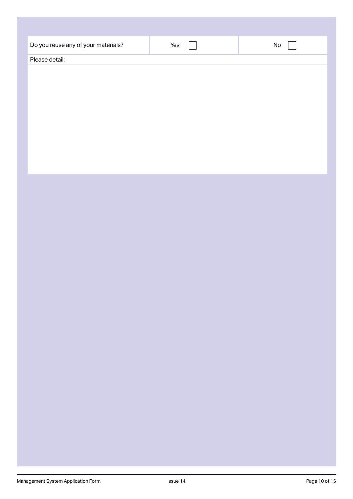| Do you reuse any of your materials? | Yes | $\operatorname{\mathsf{No}}$ |
|-------------------------------------|-----|------------------------------|
| Please detail:                      |     |                              |
|                                     |     |                              |
|                                     |     |                              |
|                                     |     |                              |
|                                     |     |                              |
|                                     |     |                              |
|                                     |     |                              |
|                                     |     |                              |
|                                     |     |                              |
|                                     |     |                              |
|                                     |     |                              |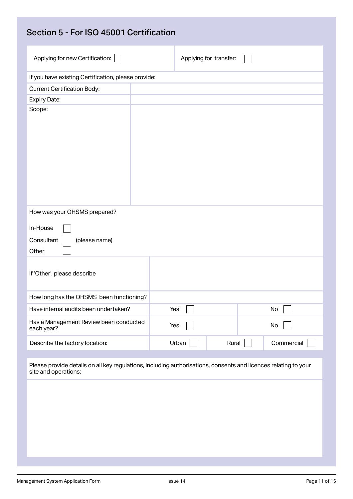| Section 5 - For ISO 45001 Certification                                                                                                 |  |       |                        |            |
|-----------------------------------------------------------------------------------------------------------------------------------------|--|-------|------------------------|------------|
| Applying for new Certification:                                                                                                         |  |       | Applying for transfer: |            |
| If you have existing Certification, please provide:                                                                                     |  |       |                        |            |
| <b>Current Certification Body:</b>                                                                                                      |  |       |                        |            |
| <b>Expiry Date:</b>                                                                                                                     |  |       |                        |            |
| Scope:                                                                                                                                  |  |       |                        |            |
| How was your OHSMS prepared?                                                                                                            |  |       |                        |            |
| In-House                                                                                                                                |  |       |                        |            |
| Consultant<br>(please name)                                                                                                             |  |       |                        |            |
| Other                                                                                                                                   |  |       |                        |            |
| If 'Other', please describe                                                                                                             |  |       |                        |            |
| How long has the OHSMS been functioning?                                                                                                |  |       |                        |            |
| Have internal audits been undertaken?                                                                                                   |  | Yes   |                        | No         |
| Has a Management Review been conducted<br>each year?                                                                                    |  | Yes   |                        | No         |
| Describe the factory location:                                                                                                          |  | Urban | Rural                  | Commercial |
| Please provide details on all key regulations, including authorisations, consents and licences relating to your<br>site and operations: |  |       |                        |            |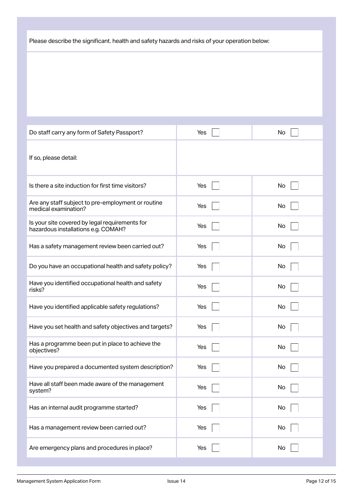Please describe the significant. health and safety hazards and risks of your operation below:

| Do staff carry any form of Safety Passport?                                           | Yes | No |
|---------------------------------------------------------------------------------------|-----|----|
| If so, please detail:                                                                 |     |    |
| Is there a site induction for first time visitors?                                    | Yes | No |
| Are any staff subject to pre-employment or routine<br>medical examination?            | Yes | No |
| Is your site covered by legal requirements for<br>hazardous installations e.g. COMAH? | Yes | No |
| Has a safety management review been carried out?                                      | Yes | No |
| Do you have an occupational health and safety policy?                                 | Yes | No |
| Have you identified occupational health and safety<br>risks?                          | Yes | No |
| Have you identified applicable safety regulations?                                    | Yes | No |
| Have you set health and safety objectives and targets?                                | Yes | No |
| Has a programme been put in place to achieve the<br>objectives?                       | Yes | No |
| Have you prepared a documented system description?                                    | Yes | No |
| Have all staff been made aware of the management<br>system?                           | Yes | No |
| Has an internal audit programme started?                                              | Yes | No |
| Has a management review been carried out?                                             | Yes | No |
| Are emergency plans and procedures in place?                                          | Yes | No |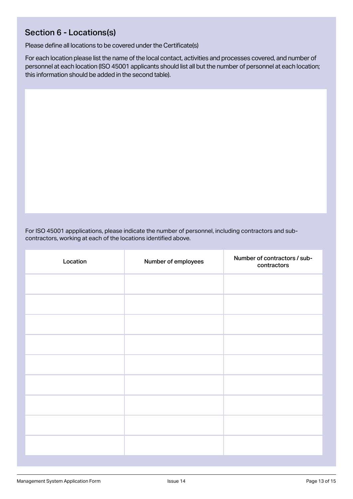### Section 6 - Locations(s)

Please define all locations to be covered under the Certificate(s)

For each location please list the name of the local contact, activities and processes covered, and number of personnel at each location (ISO 45001 applicants should list all but the number of personnel at each location; this information should be added in the second table).

For ISO 45001 appplications, please indicate the number of personnel, including contractors and subcontractors, working at each of the locations identified above.

| Location | Number of employees | Number of contractors / sub-<br>contractors |
|----------|---------------------|---------------------------------------------|
|          |                     |                                             |
|          |                     |                                             |
|          |                     |                                             |
|          |                     |                                             |
|          |                     |                                             |
|          |                     |                                             |
|          |                     |                                             |
|          |                     |                                             |
|          |                     |                                             |
|          |                     |                                             |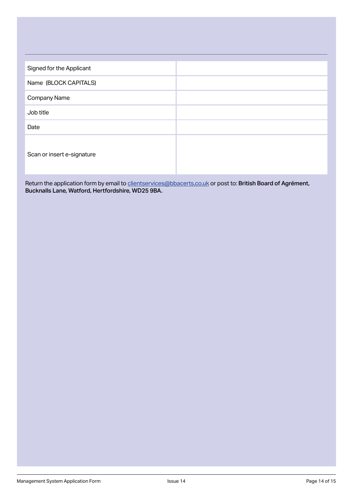| Signed for the Applicant   |  |
|----------------------------|--|
| Name (BLOCK CAPITALS)      |  |
| Company Name               |  |
| Job title                  |  |
| Date                       |  |
| Scan or insert e-signature |  |

Return the application form by email to <u>clientservices@bbacerts.co.uk</u> or post to: **British Board of Agrement,** Bucknalls Lane, Watford, Hertfordshire, WD25 9BA.